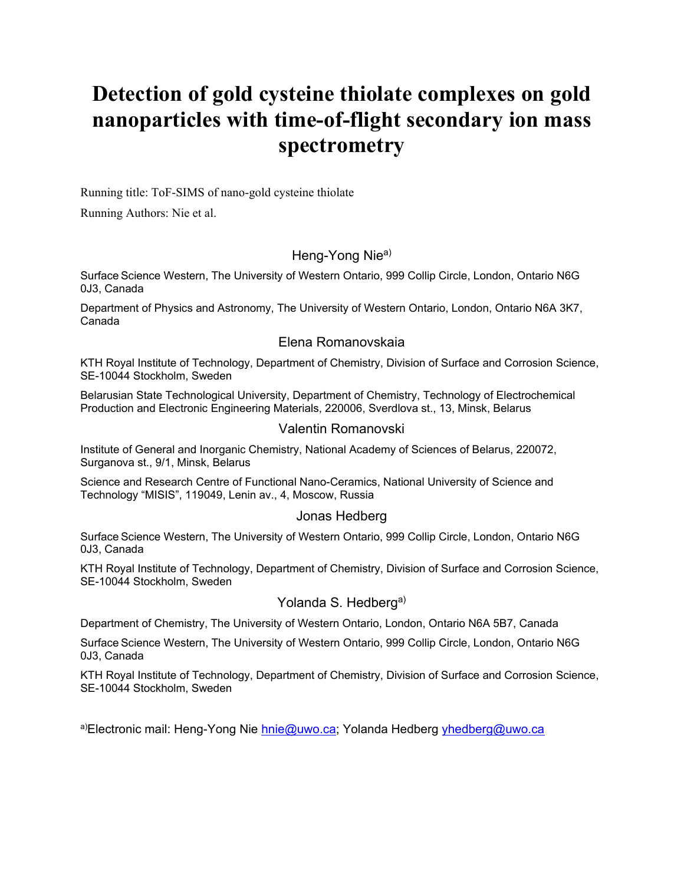# **Detection of gold cysteine thiolate complexes on gold nanoparticles with time-of-flight secondary ion mass spectrometry**

Running title: ToF-SIMS of nano-gold cysteine thiolate

Running Authors: Nie et al.

# Heng-Yong Nie<sup>a)</sup>

Surface Science Western, The University of Western Ontario, 999 Collip Circle, London, Ontario N6G 0J3, Canada

Department of Physics and Astronomy, The University of Western Ontario, London, Ontario N6A 3K7, Canada

# Elena Romanovskaia

KTH Royal Institute of Technology, Department of Chemistry, Division of Surface and Corrosion Science, SE-10044 Stockholm, Sweden

Belarusian State Technological University, Department of Chemistry, Technology of Electrochemical Production and Electronic Engineering Materials, 220006, Sverdlova st., 13, Minsk, Belarus

# Valentin Romanovski

Institute of General and Inorganic Chemistry, National Academy of Sciences of Belarus, 220072, Surganova st., 9/1, Minsk, Belarus

Science and Research Centre of Functional Nano-Ceramics, National University of Science and Technology "MISIS", 119049, Lenin av., 4, Moscow, Russia

### Jonas Hedberg

Surface Science Western, The University of Western Ontario, 999 Collip Circle, London, Ontario N6G 0J3, Canada

KTH Royal Institute of Technology, Department of Chemistry, Division of Surface and Corrosion Science, SE-10044 Stockholm, Sweden

### Yolanda S. Hedberg<sup>a)</sup>

Department of Chemistry, The University of Western Ontario, London, Ontario N6A 5B7, Canada

Surface Science Western, The University of Western Ontario, 999 Collip Circle, London, Ontario N6G 0J3, Canada

KTH Royal Institute of Technology, Department of Chemistry, Division of Surface and Corrosion Science, SE-10044 Stockholm, Sweden

a)Electronic mail: Heng-Yong Nie [hnie@uwo.ca;](mailto:hnie@uwo.ca) Yolanda Hedberg [yhedberg@uwo.ca](mailto:yhedberg@uwo.ca)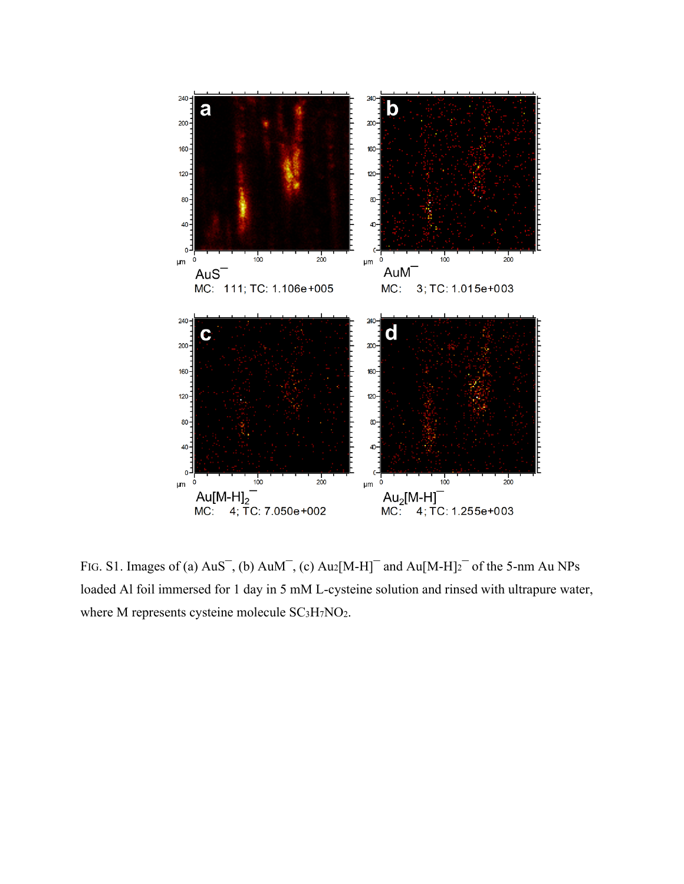

FIG. S1. Images of (a)  $AuS^-$ , (b)  $AuM^-$ , (c)  $Au2[M-H]^-$  and  $Au[M-H]_2^-$  of the 5-nm Au NPs loaded Al foil immersed for 1 day in 5 mM L-cysteine solution and rinsed with ultrapure water, where M represents cysteine molecule SC<sub>3</sub>H<sub>7</sub>NO<sub>2</sub>.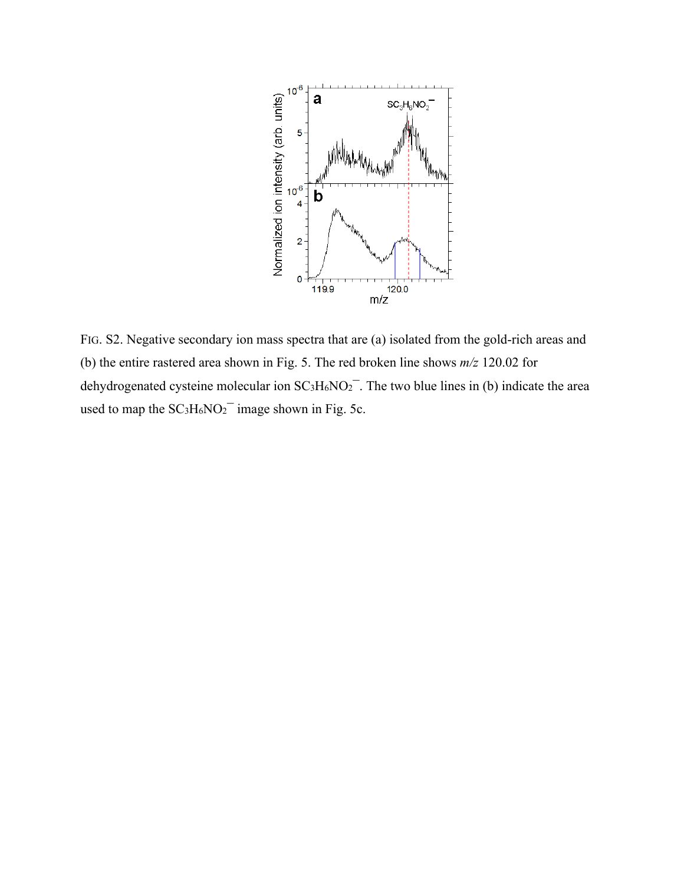

FIG. S2. Negative secondary ion mass spectra that are (a) isolated from the gold-rich areas and (b) the entire rastered area shown in Fig. 5. The red broken line shows *m/z* 120.02 for dehydrogenated cysteine molecular ion  $SC_3H_6NO_2^-$ . The two blue lines in (b) indicate the area used to map the  $SC<sub>3</sub>H<sub>6</sub>NO<sub>2</sub><sup>-</sup>$  image shown in Fig. 5c.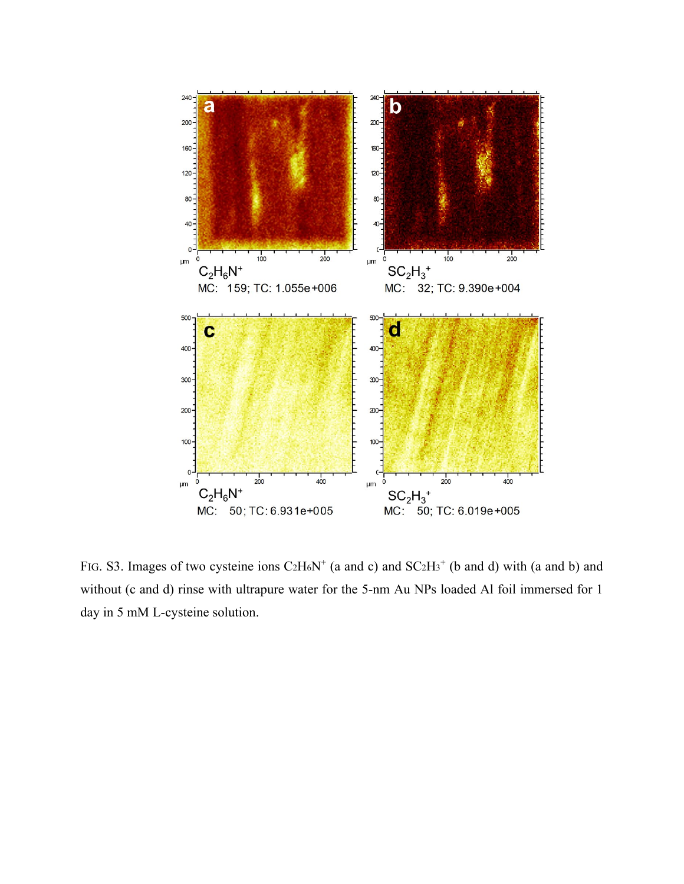

FIG. S3. Images of two cysteine ions  $C_2H_6N^+$  (a and c) and  $SC_2H_3^+$  (b and d) with (a and b) and without (c and d) rinse with ultrapure water for the 5-nm Au NPs loaded Al foil immersed for 1 day in 5 mM L-cysteine solution.